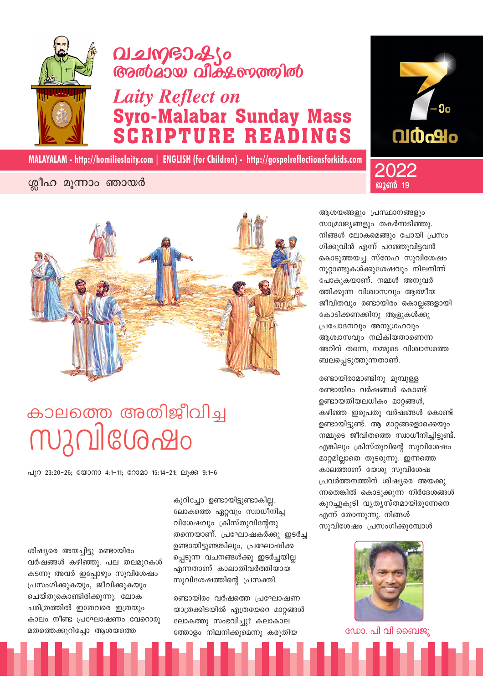

ശിഷ്യരെ അയച്ചിട്ടു രണ്ടായിരം

വർഷങ്ങൾ കഴിഞ്ഞു. പല തലമുറകൾ

കടന്നു അവർ ഇപോഴും സുവിശേഷം

കാലം നീണ്ട പ്രഘോഷണം വേറൊരു

പ്രസംഗിക്കുകയും, ജീവിക്കുകയും ചെയ്തുകൊണ്ടിരിക്കുന്നു. ലോക

ചരിത്രത്തിൽ ഇതേവരെ ഇത്രയും

മതത്തെക്കുറിച്ചോ ആശയത്തെ

പുറ 23:20-26; യോനാ 4:1-11; റോമാ 15:14-21; ലൂക്ക 9:1-6

## <u>บวุกปไตบอกขอ</u>

# കാലത്തെ അതിജീവിച്ച

ശ്രീഹ മൂന്നാം ഞായർ

## 

MALAYALAM - http://homilieslaity.com | ENGLISH (for Children) - http://gospelreflectionsforkids.com

### **Laity Reflect on Syro-Malabar Sunday Mass PTURE READINGS**

രണ്ടായിരം വർഷത്തെ പ്രഘോഷണ യാത്രക്കിടയിൽ എത്രയേറെ മാറ്റങ്ങൾ ലോകത്തു സംഭവിച്ചു? കലാകാല ത്തോളം നിലനിക്കുമെന്നു കരുതിയ

കുറിച്ചോ ഉണ്ടായിട്ടുണ്ടാകില്ല. ലോകത്തെ ഏറ്റവും സ്വാധീനിച്ച വിശേഷവും ക്രിസ്തുവിന്റേതു തന്നെയാണ്. പ്രഘോഷകർക്കു ഇടർച്ച ഉണ്ടായിട്ടുണ്ടങ്കിലും, പ്രഘോഷിക്ക പ്പെടുന്ന വചനങ്ങൾക്കു ഇടർച്ചയില്ല എന്നതാണ് കാലാതിവർത്തിയായ സുവിശേഷത്തിന്റെ പ്രസക്തി.

ആശയങ്ങളും പ്രസ്ഥാനങ്ങളും സാമ്രാജ്യങ്ങളും തകർന്നടിഞ്ഞു. നിങ്ങൾ ലോകമെങ്ങും പോയി പ്രസം ഗിക്കുവിൻ എന്ന് പറഞ്ഞുവിട്ടവൻ കൊടുത്തയച്ച സ്നേഹ സുവിശേഷം നൂറ്റാണ്ടുകൾക്കുശേഷവും നിലനിന്ന് പോകുകയാണ്. നമ്മൾ അനുവർ ത്തിക്കുന്ന വിശ്വാസവും ആത്മീയ ജീവിതവും രണ്ടായിരം കൊല്ലങ്ങളായി കോടിക്കണക്കിനു ആളുകൾക്കു പ്രചോദനവും അനുഗ്രഹവും ആശ്വാസവും നല്കിയതാണെന്ന അറിവ് തന്നെ, നമ്മുടെ വിശ്വാസത്തെ ബലപ്പെടുത്തുന്നതാണ്.

രണ്ടായിരാമാണ്ടിനു മുമ്പുള്ള രണ്ടായിരം വർഷങ്ങൾ കൊണ്ട് ഉണ്ടായതിയലധികം മാറ്റങ്ങൾ, കഴിഞ്ഞ ഇരുപതു വർഷങ്ങൾ കൊണ്ട് ഉണ്ടായിട്ടുണ്ട്. ആ മാറ്റങ്ങളൊക്കെയും നമ്മുടെ ജീവിതത്തെ സ്വാധീനിച്ചിട്ടുണ്ട്. എങ്കിലും ക്രിസ്തുവിന്റെ സുവിശേഷം മാറ്റമില്ലാതെ തുടരുന്നു. ഇന്നത്തെ കാലത്താണ് യേശു സുവിശേഷ പ്രവർത്തനത്തിന് ശിഷ്യരെ അയക്കു ന്നതെങ്കിൽ കൊടുക്കുന്ന നിർദേശങ്ങൾ കുറച്ചുകൂടി വൃതൃസ്തമായിരുന്നേനെ എന്ന് തോന്നുന്നു. നിങ്ങൾ സുവിശേഷം പ്രസംഗിക്കുമ്പോൾ



ഡോ. പി വി ബൈജു





2022

ജൂൺ 19

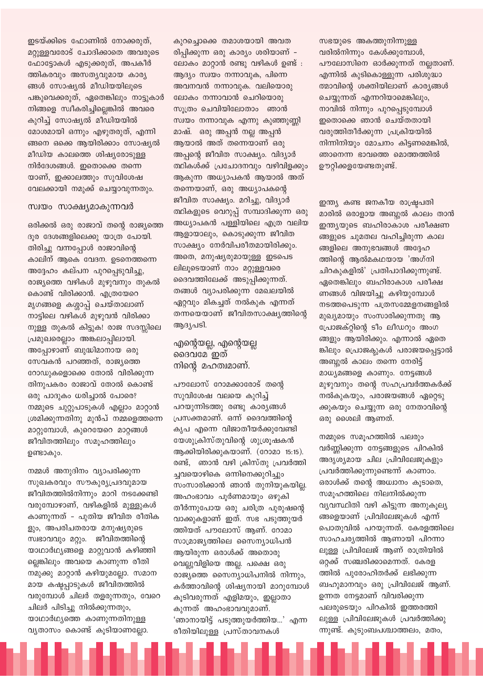ഇടയ്ക്കിടെ ഫോണിൽ നോക്കരുത്, മറ്റുള്ളവരോട് ചോദിക്കാതെ അവരുടെ ഫോട്ടോകൾ എടുക്കരുത്, അപകീർ ത്തികരവും അസത്യവുമായ കാര്യ ങ്ങൾ സോഷ്യൽ മീഡിയയിലുടെ പങ്കുവെക്കരുത്, ഏതെങ്കിലും നാട്ടുകാർ നിങ്ങളെ സ്വീകരിച്ചില്ലെങ്കിൽ അവരെ കുറിച്ച് സോഷ്യൽ മീഡിയയിൽ മോശമായി ഒന്നും എഴുതരുത്. എന്നി ങ്ങനെ ഒക്കെ ആയിരിക്കാം സോഷ്യൽ മീഡിയ കാലത്തെ ശിഷ്യരോടുള്ള നിർദേശങ്ങൾ. ഇതൊക്കെ തന്നെ യാണ്, ഇക്കാലത്തും സുവിശേഷ വേലക്കായി നമുക്ക് ചെയ്യാവുന്നതും.

### സ്വയം സാക്ഷ്യമാകുന്നവർ

ഒരിക്കൽ ഒരു രാജാവ് തന്റെ രാജ്യത്തെ ദൂര ദേശങ്ങളിലെക്കു യാത്ര പോയി. തിരിച്ചു വന്നപ്പോൾ രാജാവിന്റെ കാലിന് ആകെ വേദന. ഉടനെത്തന്നെ അദ്ദേഹം കല്പന പുറപ്പെടുവിച്ചു, രാജ്യത്തെ വഴികൾ മുഴുവനും തുകൽ കൊണ്ട് വിരിക്കാൻ. എത്രയേറെ മൃഗങ്ങളെ കശ്ശാപ്പ് ചെയ്താലാണ് നാട്ടിലെ വഴികൾ മുഴുവൻ വിരിക്കാ നുള്ള തുകൽ കിട്ടുക! രാജ സദസ്സിലെ പ്രമുഖരെല്ലാം അങ്കലാപ്പിലായി. അപ്പോഴാണ് ബുദ്ധിമാനായ ഒരു സേവകൻ പറഞ്ഞത്, രാജ്യത്തെ റോഡുകളൊക്കെ തോൽ വിരിക്കുന്ന തിനുപകരം രാജാവ് തോൽ കൊണ്ട് ഒരു പാദുകം ധരിച്ചാൽ പോരെ? നമ്മുടെ ചുറ്റുപാടുകൾ എല്ലാം മാറ്റാൻ ശ്രമിക്കുന്നതിനു മുൻപ് നമ്മളെത്തന്നെ മാറ്റുമ്പോൾ, കുറെയേറെ മാറ്റങ്ങൾ ജീവിതത്തിലും സമൂഹത്തിലും ഉണ്ടാകും.

നമ്മൾ അനുദിനം വ്യാപരിക്കുന്ന സുഖകരവും സൗകുര്യപ്രദവുമായ ജീവിതത്തിൽനിന്നും മാറി നടക്കേണ്ടി വരുമ്പോഴാണ്, വഴികളിൽ മുള്ളുകൾ കാണുന്നത് - പുതിയ ജീവിത രീതിക ളും, അപരിചതരായ മനുഷ്യരുടെ സ്വഭാവവും മറ്റും. ജീവിതത്തിന്റെ യാഥാർഥ്യങ്ങളെ മാറ്റുവാൻ കഴിഞ്ഞി ല്ലെങ്കിലും അവയെ കാണുന്ന രീതി നമുക്കു മാറ്റാൻ കഴിയുമല്ലോ. സമാന മായ കഷ്ടപ്പാടുകൾ ജീവിതത്തിൽ വരുമ്പോൾ ചിലർ തളരുന്നതും, വേറെ ചിലർ പിടിച്ചു നിൽക്കുന്നതും, യാഥാർഥ്യത്തെ കാണുന്നതിനുള്ള വ്യതാസം കൊണ്ട് കൂടിയാണല്ലോ.

കുറച്ചൊക്കെ തമാശയായി അവത രിപ്പിക്കുന്ന ഒരു കാര്യം ശരിയാണ് – ലോകം മാറ്റാൻ രണ്ടു വഴികൾ ഉണ്ട് : ആദ്യം സ്വയം നന്നാവുക, പിന്നെ അവനവൻ നന്നാവുക. വലിയൊരു ലോകം നന്നാവാൻ ചെറിയൊരു സുത്രം ചെവിയിലോതാം ഞാൻ സ്വയം നന്നാവുക എന്നു കുഞ്ഞുണ്ണി മാഷ്. ഒരു അപ്പൻ നല്ല അപ്പൻ ആയാൽ അത് തന്നെയാണ് ഒരു അപ്പന്റെ ജീവിത സാക്ഷ്യം. വിദ്യാർ ത്ഥികൾക്ക് പ്രചോദനവും വഴിവിളക്കും ആകുന്ന അധ്യാപകൻ ആയാൽ അത് തന്നെയാണ്, ഒരു അധ്യാപകന്റെ ജീവിത സാക്ഷ്യം. മറിച്ചു, വിദ്യാർ ത്ഥികളുടെ വെറുപ്പ് സമ്പാദിക്കുന്ന ഒരു അധ്യാപകൻ പള്ളിയിലെ എത്ര വലിയ ആളായാലും, കൊടുക്കുന്ന ജീവിത സാക്ഷ്യം നേർവിപരീതമായിരിക്കും. അതെ, മനുഷ്യരുമായുള്ള ഇടപെട ലിലൂടെയാണ് നാം മറ്റുള്ളവരെ ദൈവത്തിലേക്ക് അടുപ്പിക്കുന്നത്. തങ്ങൾ വ്യാപരിക്കുന്ന മേഖലയിൽ ഏറ്റവും മികച്ചത് നൽകുക എന്നത് തന്നയെയാണ് ജീവിതസാക്ഷ്യത്തിന്റെ ആദ്യപടി.

### എന്റെയല്ല, എന്റെയല്ല ദൈവമേ ഇത് നിന്റെ മഹത്വമാണ്.

പൗലോസ് റോമക്കാരോട് തന്റെ സുവിശേഷ വലയെ കുറിച്ച് പറയുന്നിടത്തു രണ്ടു കാര്യങ്ങൾ പ്രസക്തമാണ്. ഒന്ന് ദൈവത്തിന്റെ കൃപ എന്നെ വിജാതീയർക്കുവേണ്ടി യേശുക്രിസ്തുവിന്റെ ശുശ്രുഷകൻ ആക്കിയിരിക്കുകയാണ്. (റോമാ 15:15). രണ്ട്, ഞാൻ വഴി ക്രിസ്തു പ്രവർത്തി ച്ചവയൊഴികെ ഒന്നിനെക്കുറിച്ചും സംസാരിക്കാൻ ഞാൻ തുനിയുകയില്ല. അഹംഭാവം പൂർണമായും ഒഴുകി തീർന്നുപോയ ഒരു ചരിത്ര പുരുഷന്റെ വാക്കുകളാണ് ഇത്. സഭ പടുത്തുയർ ത്തിയത് പൗലോസ് ആണ്. റോമാ സാമ്രാജ്യത്തിലെ സൈന്യാധിപൻ ആയിരുന്ന ഒരാൾക്ക് അതൊരു വെല്ലുവിളിയെ അല്ല. പക്ഷെ ഒരു രാജ്യത്തെ സൈന്യാധിപനിൽ നിന്നും, കർത്താവിന്റെ ശിഷ്യനായി മാറുമ്പോൾ കൂടിവരുന്നത് എളിമയും, ഇല്ലാതാ കുന്നത് അഹംഭാവവുമാണ്. 'ഞാനായിട്ട് പടുത്തുയർത്തിയ…' എന്ന രീതിയിലുള്ള പ്രസ്താവനകൾ

സഭയുടെ അകത്തുനിന്നുള്ള വരിൽനിന്നും കേൾക്കുമ്പോൾ, പൗലോസിനെ ഓർക്കുന്നത് നല്ലതാണ്. എന്നിൽ കുടികൊള്ളുന്ന പരിശുദ്ധാ ത്മാവിന്റെ ശക്തിയിലാണ് കാര്യങ്ങൾ ചെയ്യുന്നത് എന്നറിയാമെങ്കിലും, നാവിൽ നിന്നും പുറപ്പെടുമ്പോൾ ഇതൊക്കെ ഞാൻ ചെയ്തതായി വരുത്തിതീർക്കുന്ന പ്രക്രിയയിൽ നിന്നിനിയും മോചനം കിട്ടണമെങ്കിൽ, ഞാനെന്ന ഭാവത്തെ മൊത്തത്തിൽ ഊറ്റിക്കളയേണ്ടതുണ്ട്.

ഇന്ത്യ കണ്ട ജനകീയ രാഷ്ട്രപതി മാരിൽ ഒരാളായ അബ്ദുൽ കാലം താൻ ഇന്ത്യയുടെ ബഹിരാകാശ പരീക്ഷണ ങ്ങളുടെ ചുമതല വഹിച്ചിരുന്ന കാല ങ്ങളിലെ അനുഭവങ്ങൾ അദ്ദേഹ ത്തിന്റെ ആൽമകഥയായ 'അഗ്നി ചിറകുകളിൽ' പ്രതിപാദിക്കുന്നുണ്ട്. ഏതെങ്കിലും ബഹിരാകാശ പരീക്ഷ ണങ്ങൾ വിജയിച്ചു കഴിയുമ്പോൾ നടത്തപെടുന്ന പത്രസമ്മേളനങ്ങളിൽ മുഖ്യമായും സംസാരിക്കുന്നതു ആ പ്രോജക്റ്റിന്റെ ടീം ലീഡറും അംഗ ങ്ങളും ആയിരിക്കും. എന്നാൽ ഏതെ ങ്കിലും പ്രൊജക്കുകൾ പരാജയപ്പെട്ടാൽ അബ്ദുൽ കാലം തന്നെ നേരിട്ട് മാധ്യമങ്ങളെ കാണും. നേട്ടങ്ങൾ മുഴുവനും തന്റെ സഹപ്രവർത്തകർക്ക് നൽകുകയും, പരാജയങ്ങൾ ഏറ്റെടു ക്കുകയും ചെയ്യുന്ന ഒരു നേതാവിന്റെ ഒരു ശൈലി ആണത്.

നമ്മുടെ സമൂഹത്തിൽ പലരും വർണ്ണിക്കുന്ന നേട്ടങ്ങളുടെ പിറകിൽ അദൃശ്യമായ ചില പ്രിവിലേജുകളും പ്രവർത്തിക്കുന്നുണ്ടെന്ന് കാണാം. ഒരാൾക്ക് തന്റെ അധ്വാനം കൂടാതെ, സമൂഹത്തിലെ നിലനിൽക്കുന്ന വ്യവസ്ഥിതി വഴി കിട്ടുന്ന അനുകൂല്യ ങ്ങളെയാണ് പ്രിവിലേജുകൾ എന്ന് പൊതുവിൽ പറയുന്നത്. കേരളത്തിലെ സാഹചര്യത്തിൽ ആണായി പിറന്നാ ലുള്ള പ്രിവിലേജ് ആണ് രാത്രിയിൽ ഒറ്റക്ക് സഞ്ചരിക്കാമെന്നത്. കേരള ത്തിൽ പുരോഹിതർക്ക് ലഭിക്കുന്ന ബഹുമാനവും ഒരു പ്രിവിലേജ് ആണ്. ഉന്നത നേട്ടമാണ് വിവരിക്കുന്ന പലരുടെയും പിറകിൽ ഇത്തരത്തി ലുള്ള പ്രിവിലേജുകൾ പ്രവർത്തിക്കു ന്നുണ്ട്. കുടുംബപശ്ചാത്തലം, മതം,